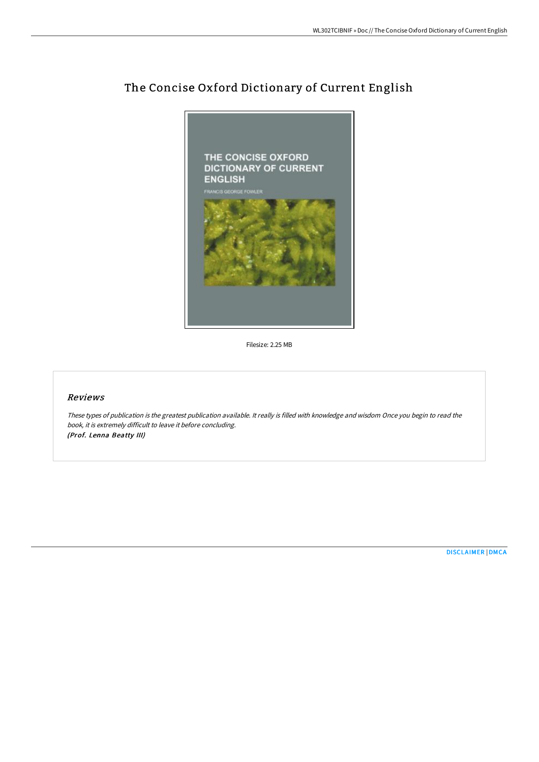

# The Concise Oxford Dictionary of Current English

Filesize: 2.25 MB

## Reviews

These types of publication is the greatest publication available. It really is filled with knowledge and wisdom Once you begin to read the book, it is extremely difficult to leave it before concluding. (Prof. Lenna Beatty III)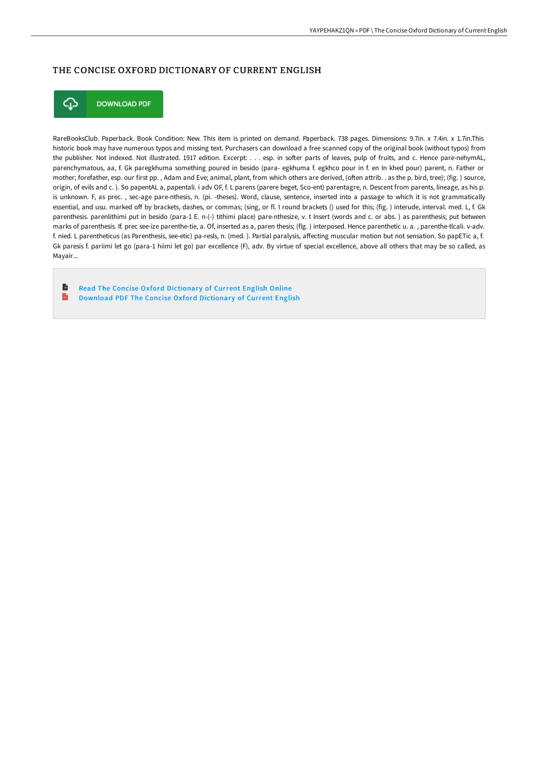## THE CONCISE OXFORD DICTIONARY OF CURRENT ENGLISH



RareBooksClub. Paperback. Book Condition: New. This item is printed on demand. Paperback. 738 pages. Dimensions: 9.7in. x 7.4in. x 1.7in.This historic book may have numerous typos and missing text. Purchasers can download a free scanned copy of the original book (without typos) from the publisher. Not indexed. Not illustrated. 1917 edition. Excerpt: . . . esp. in softer parts of leaves, pulp of fruits, and c. Hence pare-nehymAL, parenchymatous, aa, f. Gk paregkhuma something poured in besido (para- egkhuma f. egkhco pour in f. en In khed pour) parent, n. Father or mother; forefather, esp. our first pp., Adam and Eve; animal, plant, from which others are derived, (often attrib. . as the p. bird, tree); (fig.) source, origin, of evils and c.). So papentAL a, papentali. i adv OF, f. L parens (parere beget, Sco-ent) parentagre, n. Descent from parents, lineage, as his p. is unknown. F, as prec., sec-age pare-nthesis, n. (pi. -theses). Word, clause, sentence, inserted into a passage to which it is not grammatically essential, and usu. marked off by brackets, dashes, or commas; (sing, or fl. I round brackets () used for this; (fig. ) interude, interval. med. L, f. Gk parenthesis. parenlithimi put in besido (para-1 E. n-(-) tithimi place) pare-nthesize, v. t Insert (words and c. or abs.) as parenthesis; put between marks of parenthesis. If. prec see-ize parenthe-tie, a. Of, inserted as a, paren thesis; (flg.) interposed. Hence parenthetic u. a., parenthe-tlcali. v-adv. f. nied. L parentheticus (as Parenthesis, see-etic) pa-resls, n. (med.). Partial paralysis, affecting muscular motion but not sensation. So papETic a, f. Gk paresis f. pariimi let go (para-1 hiimi let go) par excellence (F), adv. By virtue of special excellence, above all others that may be so called, as Mayair...

B Read The Concise Oxford Dictionary of Current English Online  $\mathbf{m}$ Download PDF The Concise Oxford Dictionary of Current English